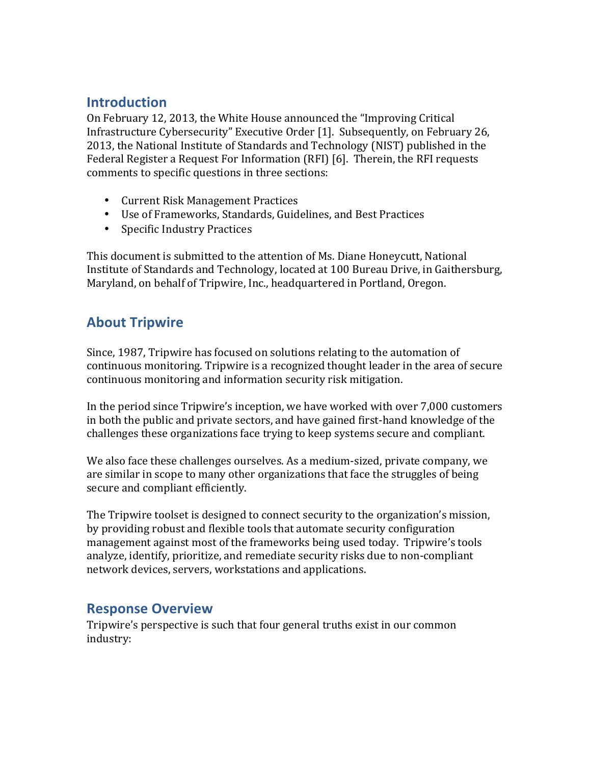## **Introduction**

On February 12, 2013, the White House announced the "Improving Critical Infrastructure Cybersecurity" Executive Order [1]. Subsequently, on February 26, 2013, the National Institute of Standards and Technology (NIST) published in the Federal Register a Request For Information (RFI) [6]. Therein, the RFI requests comments to specific questions in three sections:

- Current Risk Management Practices
- Use of Frameworks, Standards, Guidelines, and Best Practices
- Specific Industry Practices

This document is submitted to the attention of Ms. Diane Honeycutt, National Institute of Standards and Technology, located at 100 Bureau Drive, in Gaithersburg, Maryland, on behalf of Tripwire, Inc., headquartered in Portland, Oregon.

## **About Tripwire**

Since, 1987, Tripwire has focused on solutions relating to the automation of continuous monitoring. Tripwire is a recognized thought leader in the area of secure continuous monitoring and information security risk mitigation.

In the period since Tripwire's inception, we have worked with over 7,000 customers in both the public and private sectors, and have gained first-hand knowledge of the challenges these organizations face trying to keep systems secure and compliant.

We also face these challenges ourselves. As a medium-sized, private company, we are similar in scope to many other organizations that face the struggles of being secure and compliant efficiently.

The Tripwire toolset is designed to connect security to the organization's mission, by providing robust and flexible tools that automate security configuration management against most of the frameworks being used today. Tripwire's tools analyze, identify, prioritize, and remediate security risks due to non-compliant network devices, servers, workstations and applications.

## **Response Overview**

Tripwire's perspective is such that four general truths exist in our common industry: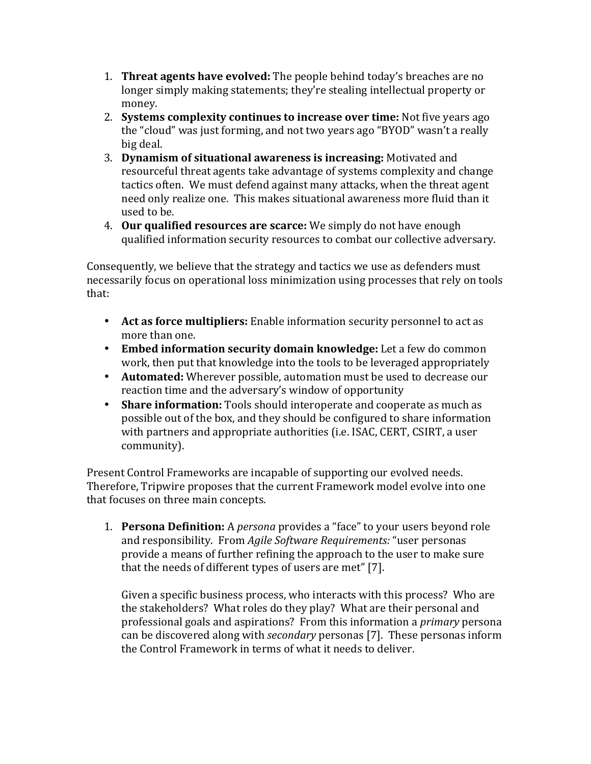- **1. Threat agents have evolved:** The people behind today's breaches are no longer simply making statements; they're stealing intellectual property or money.
- 2. **Systems complexity continues to increase over time:** Not five years ago the "cloud" was just forming, and not two years ago "BYOD" wasn't a really big deal.
- **3. Dynamism of situational awareness is increasing:** Motivated and resourceful threat agents take advantage of systems complexity and change tactics often. We must defend against many attacks, when the threat agent need only realize one. This makes situational awareness more fluid than it used to be.
- 4. **Our qualified resources are scarce:** We simply do not have enough qualified information security resources to combat our collective adversary.

Consequently, we believe that the strategy and tactics we use as defenders must necessarily focus on operational loss minimization using processes that rely on tools that:

- Act as force multipliers: Enable information security personnel to act as more than one.
- • **Embed information security domain knowledge:** Let a few do common work, then put that knowledge into the tools to be leveraged appropriately
- • **Automated:** Wherever possible, automation must be used to decrease our reaction time and the adversary's window of opportunity
- Share information: Tools should interoperate and cooperate as much as possible out of the box, and they should be configured to share information with partners and appropriate authorities (i.e. ISAC, CERT, CSIRT, a user community).

Present Control Frameworks are incapable of supporting our evolved needs. Therefore, Tripwire proposes that the current Framework model evolve into one that focuses on three main concepts.

1. **Persona Definition:** A *persona* provides a "face" to your users beyond role and responsibility. From *Agile Software Requirements:* "user personas provide a means of further refining the approach to the user to make sure that the needs of different types of users are met" [7].

Given a specific business process, who interacts with this process? Who are the stakeholders? What roles do they play? What are their personal and professional goals and aspirations? From this information a *primary* persona can be discovered along with *secondary* personas [7]. These personas inform the Control Framework in terms of what it needs to deliver.